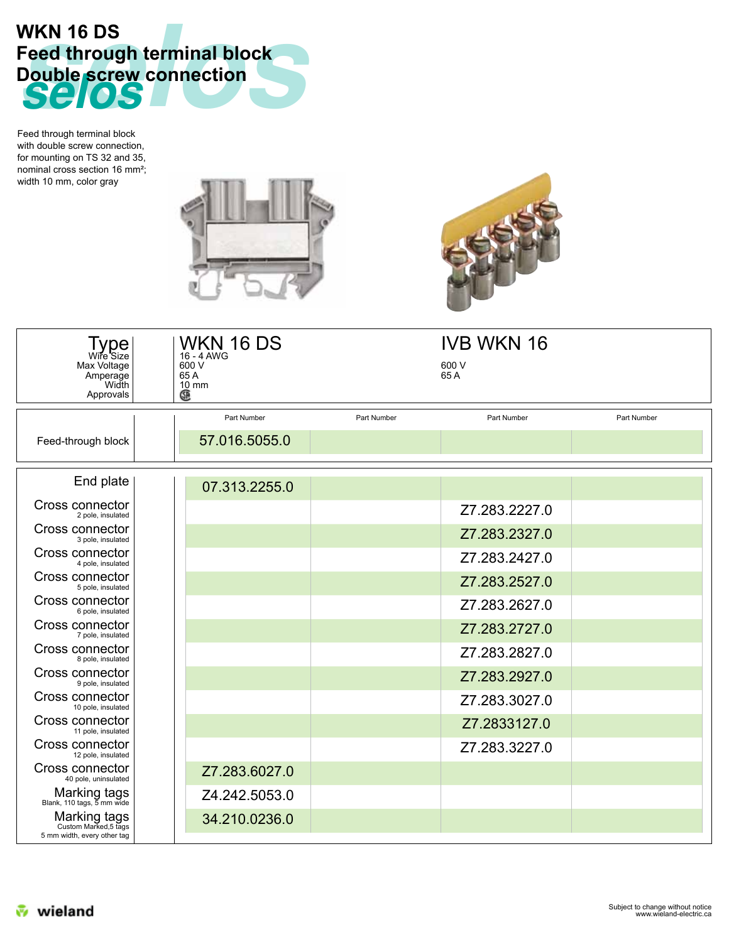

Feed through terminal block with double screw connection, for mounting on TS 32 and 35, nominal cross section 16 mm²; width 10 mm, color gray





| Type<br>Wire Size<br>Max Voltage<br>Amperage<br>Width<br>Approvals   | WKN 16 DS<br>16 - 4 AWG<br>600 V<br>65 A<br>$10 \text{ mm}$<br>œ |             | <b>IVB WKN 16</b><br>600 V<br>65 A |             |
|----------------------------------------------------------------------|------------------------------------------------------------------|-------------|------------------------------------|-------------|
|                                                                      | Part Number                                                      | Part Number | Part Number                        | Part Number |
| Feed-through block                                                   | 57.016.5055.0                                                    |             |                                    |             |
| End plate                                                            | 07.313.2255.0                                                    |             |                                    |             |
| Cross connector<br>2 pole, insulated                                 |                                                                  |             | Z7.283.2227.0                      |             |
| Cross connector<br>3 pole, insulated                                 |                                                                  |             | Z7.283.2327.0                      |             |
| Cross connector<br>4 pole, insulated                                 |                                                                  |             | Z7.283.2427.0                      |             |
| Cross connector<br>5 pole, insulated                                 |                                                                  |             | Z7.283.2527.0                      |             |
| Cross connector<br>6 pole, insulated                                 |                                                                  |             | Z7.283.2627.0                      |             |
| Cross connector<br>7 pole, insulated                                 |                                                                  |             | Z7.283.2727.0                      |             |
| Cross connector<br>8 pole, insulated                                 |                                                                  |             | Z7.283.2827.0                      |             |
| Cross connector<br>9 pole, insulated                                 |                                                                  |             | Z7.283.2927.0                      |             |
| Cross connector<br>10 pole, insulated                                |                                                                  |             | Z7.283.3027.0                      |             |
| Cross connector<br>11 pole, insulated                                |                                                                  |             | Z7.2833127.0                       |             |
| Cross connector<br>12 pole, insulated                                |                                                                  |             | Z7.283.3227.0                      |             |
| Cross connector<br>40 pole, uninsulated                              | Z7.283.6027.0                                                    |             |                                    |             |
| Marking tags<br>Blank, 110 tags, 5 mm wide                           | Z4.242.5053.0                                                    |             |                                    |             |
| Marking tags<br>Custom Marked, 5 tags<br>5 mm width, every other tag | 34.210.0236.0                                                    |             |                                    |             |